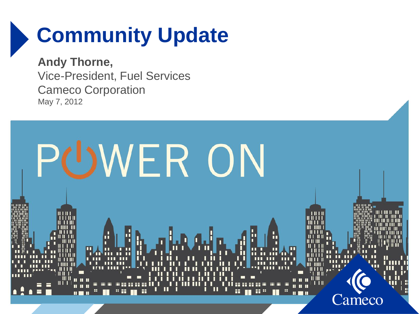### **Community Update**

**Andy Thorne,** Vice-President, Fuel Services Cameco Corporation May 7, 2012

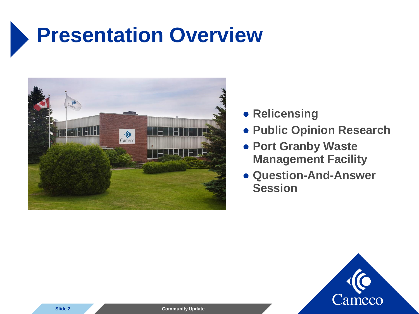#### **Presentation Overview**



- **Relicensing**
- **Public Opinion Research**
- **Port Granby Waste Management Facility**
- **Question-And-Answer Session**

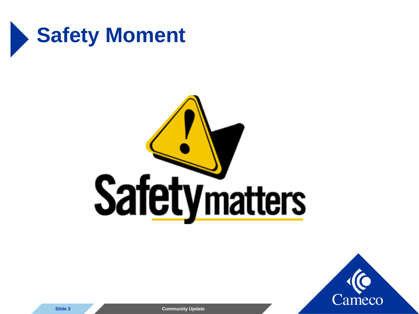

# **Safetymatters**



**Slide 3 Community Update**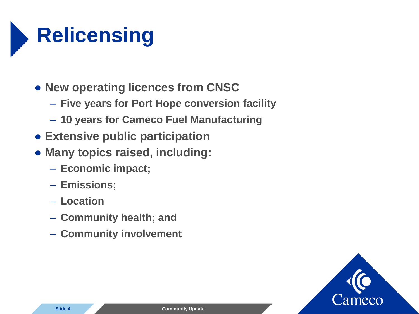- **New operating licences from CNSC**
	- **Five years for Port Hope conversion facility**
	- **10 years for Cameco Fuel Manufacturing**
- **Extensive public participation**
- **Many topics raised, including:** 
	- **Economic impact;**
	- **Emissions;**
	- **Location**
	- **Community health; and**
	- **Community involvement**

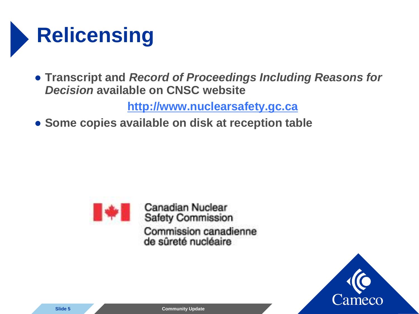● **Transcript and** *Record of Proceedings Including Reasons for Decision* **available on CNSC website**

**[http://www.nuclearsafety.gc.ca](http://www.nuclearsafety.gc.ca/)**

● **Some copies available on disk at reception table**



Canadian Nuclear Safety Commission Commission canadienne de sûreté nucléaire

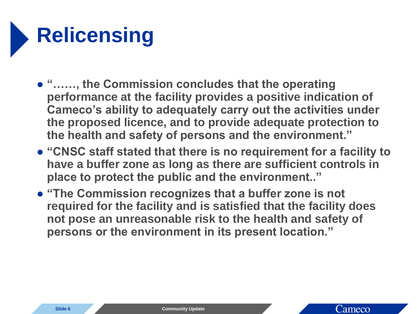- **"……, the Commission concludes that the operating performance at the facility provides a positive indication of Cameco's ability to adequately carry out the activities under the proposed licence, and to provide adequate protection to the health and safety of persons and the environment."**
- **"CNSC staff stated that there is no requirement for a facility to have a buffer zone as long as there are sufficient controls in place to protect the public and the environment.."**
- **"The Commission recognizes that a buffer zone is not required for the facility and is satisfied that the facility does not pose an unreasonable risk to the health and safety of persons or the environment in its present location."**

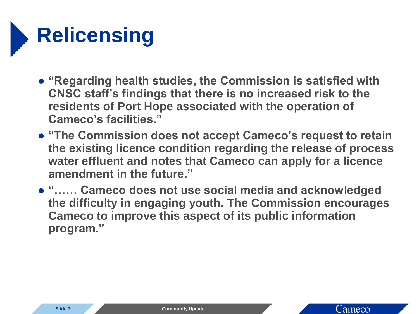- **"Regarding health studies, the Commission is satisfied with CNSC staff's findings that there is no increased risk to the residents of Port Hope associated with the operation of Cameco's facilities."**
- **"The Commission does not accept Cameco's request to retain the existing licence condition regarding the release of process water effluent and notes that Cameco can apply for a licence amendment in the future."**
- **"…… Cameco does not use social media and acknowledged the difficulty in engaging youth. The Commission encourages Cameco to improve this aspect of its public information program."**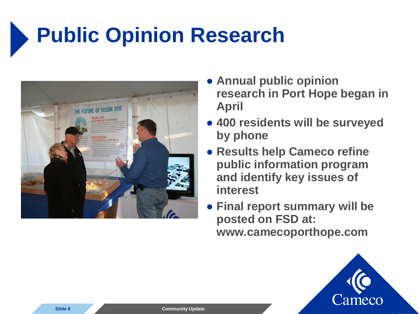## **Public Opinion Research**



- **Annual public opinion research in Port Hope began in April**
- **400 residents will be surveyed by phone**
- **Results help Cameco refine public information program and identify key issues of interest**
- **Final report summary will be posted on FSD at: www.camecoporthope.com**

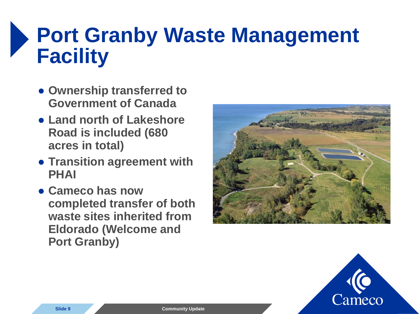#### **Port Granby Waste Management Facility**

- **Ownership transferred to Government of Canada**
- **Land north of Lakeshore Road is included (680 acres in total)**
- **Transition agreement with PHAI**
- **Cameco has now completed transfer of both waste sites inherited from Eldorado (Welcome and Port Granby)**